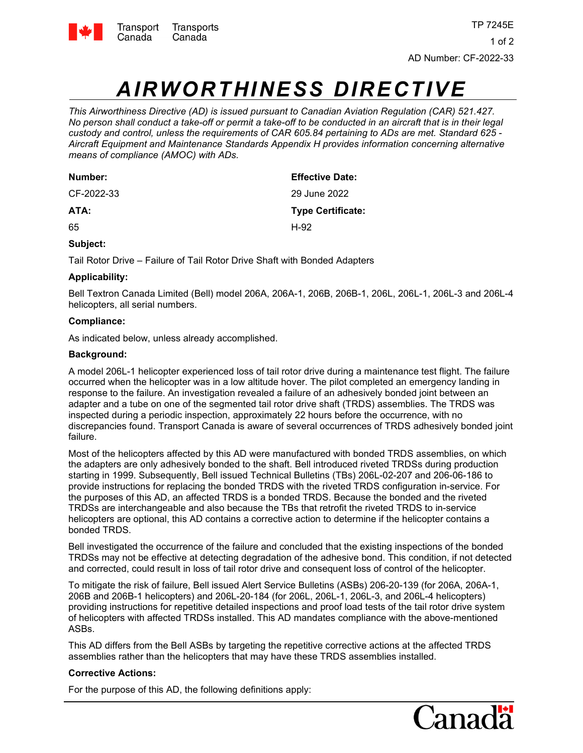

# *AIRWORTHINESS DIRECTIVE*

*This Airworthiness Directive (AD) is issued pursuant to Canadian Aviation Regulation (CAR) 521.427. No person shall conduct a take-off or permit a take-off to be conducted in an aircraft that is in their legal custody and control, unless the requirements of CAR 605.84 pertaining to ADs are met. Standard 625 - Aircraft Equipment and Maintenance Standards Appendix H provides information concerning alternative means of compliance (AMOC) with ADs.*

| Number:    | <b>Effective Date:</b>   |
|------------|--------------------------|
| CF-2022-33 | 29 June 2022             |
| ATA:       | <b>Type Certificate:</b> |
| 65         | H-92                     |

# **Subject:**

Tail Rotor Drive – Failure of Tail Rotor Drive Shaft with Bonded Adapters

# **Applicability:**

Bell Textron Canada Limited (Bell) model 206A, 206A-1, 206B, 206B-1, 206L, 206L-1, 206L-3 and 206L-4 helicopters, all serial numbers.

## **Compliance:**

As indicated below, unless already accomplished.

## **Background:**

A model 206L-1 helicopter experienced loss of tail rotor drive during a maintenance test flight. The failure occurred when the helicopter was in a low altitude hover. The pilot completed an emergency landing in response to the failure. An investigation revealed a failure of an adhesively bonded joint between an adapter and a tube on one of the segmented tail rotor drive shaft (TRDS) assemblies. The TRDS was inspected during a periodic inspection, approximately 22 hours before the occurrence, with no discrepancies found. Transport Canada is aware of several occurrences of TRDS adhesively bonded joint failure.

Most of the helicopters affected by this AD were manufactured with bonded TRDS assemblies, on which the adapters are only adhesively bonded to the shaft. Bell introduced riveted TRDSs during production starting in 1999. Subsequently, Bell issued Technical Bulletins (TBs) 206L-02-207 and 206-06-186 to provide instructions for replacing the bonded TRDS with the riveted TRDS configuration in-service. For the purposes of this AD, an affected TRDS is a bonded TRDS. Because the bonded and the riveted TRDSs are interchangeable and also because the TBs that retrofit the riveted TRDS to in-service helicopters are optional, this AD contains a corrective action to determine if the helicopter contains a bonded TRDS.

Bell investigated the occurrence of the failure and concluded that the existing inspections of the bonded TRDSs may not be effective at detecting degradation of the adhesive bond. This condition, if not detected and corrected, could result in loss of tail rotor drive and consequent loss of control of the helicopter.

To mitigate the risk of failure, Bell issued Alert Service Bulletins (ASBs) 206-20-139 (for 206A, 206A-1, 206B and 206B-1 helicopters) and 206L-20-184 (for 206L, 206L-1, 206L-3, and 206L-4 helicopters) providing instructions for repetitive detailed inspections and proof load tests of the tail rotor drive system of helicopters with affected TRDSs installed. This AD mandates compliance with the above-mentioned ASBs.

This AD differs from the Bell ASBs by targeting the repetitive corrective actions at the affected TRDS assemblies rather than the helicopters that may have these TRDS assemblies installed.

## **Corrective Actions:**

For the purpose of this AD, the following definitions apply: